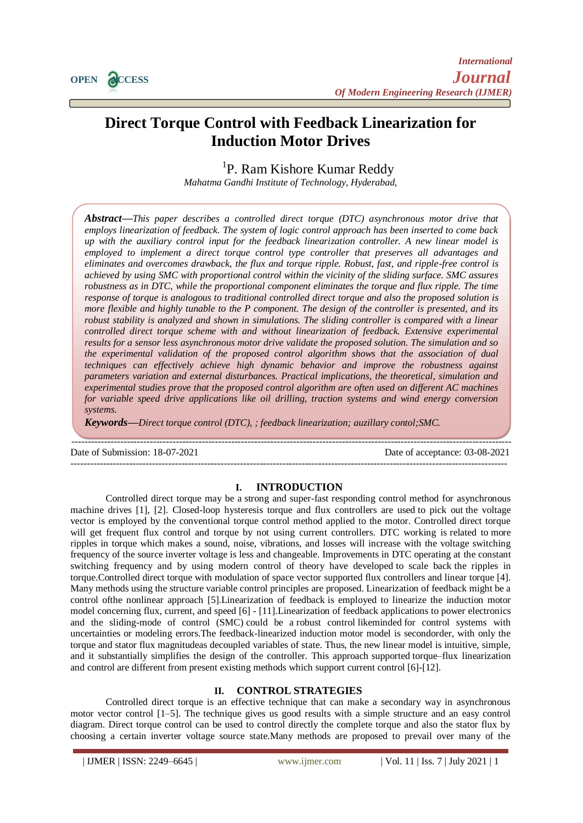

# **Direct Torque Control with Feedback Linearization for Induction Motor Drives**

<sup>1</sup>P. Ram Kishore Kumar Reddy

*Mahatma Gandhi Institute of Technology, Hyderabad,* 

*Abstract—This paper describes a controlled direct torque (DTC) asynchronous motor drive that employs linearization of feedback. The system of logic control approach has been inserted to come back up with the auxiliary control input for the feedback linearization controller. A new linear model is employed to implement a direct torque control type controller that preserves all advantages and eliminates and overcomes drawback, the flux and torque ripple. Robust, fast, and ripple-free control is achieved by using SMC with proportional control within the vicinity of the sliding surface. SMC assures robustness as in DTC, while the proportional component eliminates the torque and flux ripple. The time response of torque is analogous to traditional controlled direct torque and also the proposed solution is more flexible and highly tunable to the P component. The design of the controller is presented, and its robust stability is analyzed and shown in simulations. The sliding controller is compared with a linear controlled direct torque scheme with and without linearization of feedback. Extensive experimental results for a sensor less asynchronous motor drive validate the proposed solution. The simulation and so the experimental validation of the proposed control algorithm shows that the association of dual techniques can effectively achieve high dynamic behavior and improve the robustness against parameters variation and external disturbances. Practical implications, the theoretical, simulation and experimental studies prove that the proposed control algorithm are often used on different AC machines for variable speed drive applications like oil drilling, traction systems and wind energy conversion systems.*

*Keywords—Direct torque control (DTC), ; feedback linearization; auzillary contol;SMC.*

Date of Submission: 18-07-2021 Date of acceptance: 03-08-2021

---------------------------------------------------------------------------------------------------------------------------------------

## **I. INTRODUCTION**

--------------------------------------------------------------------------------------------------------------------------------------

Controlled direct torque may be a strong and super-fast responding control method for asynchronous machine drives [1], [2]. Closed-loop hysteresis torque and flux controllers are used to pick out the voltage vector is employed by the conventional torque control method applied to the motor. Controlled direct torque will get frequent flux control and torque by not using current controllers. DTC working is related to more ripples in torque which makes a sound, noise, vibrations, and losses will increase with the voltage switching frequency of the source inverter voltage is less and changeable. Improvements in DTC operating at the constant switching frequency and by using modern control of theory have developed to scale back the ripples in torque.Controlled direct torque with modulation of space vector supported flux controllers and linear torque [4]. Many methods using the structure variable control principles are proposed. Linearization of feedback might be a control ofthe nonlinear approach [5].Linearization of feedback is employed to linearize the induction motor model concerning flux, current, and speed [6] - [11].Linearization of feedback applications to power electronics and the sliding-mode of control (SMC) could be a robust control likeminded for control systems with uncertainties or modeling errors.The feedback-linearized induction motor model is secondorder, with only the torque and stator flux magnitudeas decoupled variables of state. Thus, the new linear model is intuitive, simple, and it substantially simplifies the design of the controller. This approach supported torque–flux linearization and control are different from present existing methods which support current control [6]-[12].

# **II. CONTROL STRATEGIES**

Controlled direct torque is an effective technique that can make a secondary way in asynchronous motor vector control [1–5]. The technique gives us good results with a simple structure and an easy control diagram. Direct torque control can be used to control directly the complete torque and also the stator flux by choosing a certain inverter voltage source state.Many methods are proposed to prevail over many of the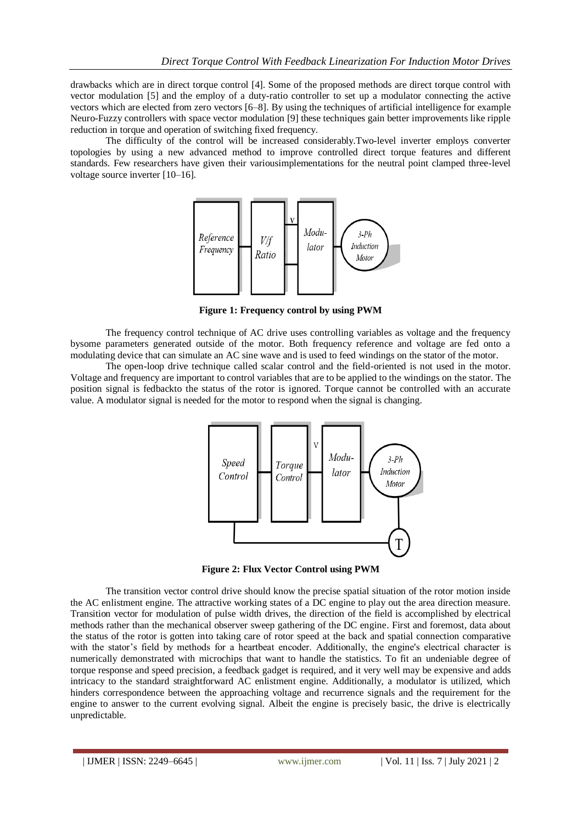drawbacks which are in direct torque control [4]. Some of the proposed methods are direct torque control with vector modulation [5] and the employ of a duty-ratio controller to set up a modulator connecting the active vectors which are elected from zero vectors [6–8]. By using the techniques of artificial intelligence for example Neuro-Fuzzy controllers with space vector modulation [9] these techniques gain better improvements like ripple reduction in torque and operation of switching fixed frequency.

The difficulty of the control will be increased considerably.Two-level inverter employs converter topologies by using a new advanced method to improve controlled direct torque features and different standards. Few researchers have given their variousimplementations for the neutral point clamped three-level voltage source inverter [10–16].



**Figure 1: Frequency control by using PWM**

The frequency control technique of AC drive uses controlling variables as voltage and the frequency bysome parameters generated outside of the motor. Both frequency reference and voltage are fed onto a modulating device that can simulate an AC sine wave and is used to feed windings on the stator of the motor.

The open-loop drive technique called scalar control and the field-oriented is not used in the motor. Voltage and frequency are important to control variables that are to be applied to the windings on the stator. The position signal is fedbackto the status of the rotor is ignored. Torque cannot be controlled with an accurate value. A modulator signal is needed for the motor to respond when the signal is changing.



**Figure 2: Flux Vector Control using PWM**

The transition vector control drive should know the precise spatial situation of the rotor motion inside the AC enlistment engine. The attractive working states of a DC engine to play out the area direction measure. Transition vector for modulation of pulse width drives, the direction of the field is accomplished by electrical methods rather than the mechanical observer sweep gathering of the DC engine. First and foremost, data about the status of the rotor is gotten into taking care of rotor speed at the back and spatial connection comparative with the stator's field by methods for a heartbeat encoder. Additionally, the engine's electrical character is numerically demonstrated with microchips that want to handle the statistics. To fit an undeniable degree of torque response and speed precision, a feedback gadget is required, and it very well may be expensive and adds intricacy to the standard straightforward AC enlistment engine. Additionally, a modulator is utilized, which hinders correspondence between the approaching voltage and recurrence signals and the requirement for the engine to answer to the current evolving signal. Albeit the engine is precisely basic, the drive is electrically unpredictable.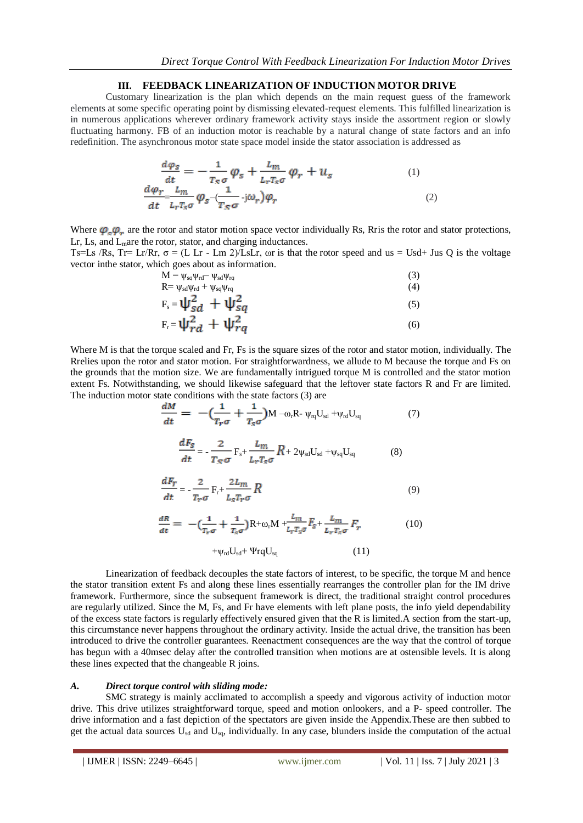# **III. FEEDBACK LINEARIZATION OF INDUCTION MOTOR DRIVE**

Customary linearization is the plan which depends on the main request guess of the framework elements at some specific operating point by dismissing elevated-request elements. This fulfilled linearization is in numerous applications wherever ordinary framework activity stays inside the assortment region or slowly fluctuating harmony. FB of an induction motor is reachable by a natural change of state factors and an info redefinition. The asynchronous motor state space model inside the stator association is addressed as

$$
\frac{d\varphi_S}{dt} = -\frac{1}{T_S \sigma} \varphi_S + \frac{L_m}{L_r T_S \sigma} \varphi_r + u_S
$$
\n
$$
\frac{d\varphi_r}{dt} \frac{L_m}{L_r T_S \sigma} \varphi_S - \frac{1}{T_S \sigma} \mathbf{j} \omega_r \varphi_r
$$
\n(1)\n(2)

Where  $\varphi_{\alpha}\varphi_{\alpha}$  are the rotor and stator motion space vector individually Rs, Rris the rotor and stator protections, Lr, Ls, and  $L<sub>m</sub>$ are the rotor, stator, and charging inductances.

Ts=Ls /Rs, Tr= Lr/Rr,  $\sigma$  = (L Lr - Lm 2)/LsLr,  $\omega$ r is that the rotor speed and us = Usd+ Jus Q is the voltage vector inthe stator, which goes about as information.

$$
M = \psi_{sa}\psi_{rd} - \psi_{sd}\psi_{ra}
$$
  
\n
$$
R = \psi_{sd}\psi_{rd} + \psi_{sq}\psi_{rq}
$$
\n(3)

$$
F_s = \psi_{sd}^2 + \psi_{sq}^2 \tag{5}
$$

$$
F_r = \psi_{rd}^2 + \psi_{rq}^2 \tag{6}
$$

Where M is that the torque scaled and Fr, Fs is the square sizes of the rotor and stator motion, individually. The Rrelies upon the rotor and stator motion. For straightforwardness, we allude to M because the torque and Fs on the grounds that the motion size. We are fundamentally intrigued torque M is controlled and the stator motion extent Fs. Notwithstanding, we should likewise safeguard that the leftover state factors R and Fr are limited. The induction motor state conditions with the state factors (3) are

$$
\frac{dM}{dt} = -\left(\frac{1}{T_r \sigma} + \frac{1}{T_s \sigma}\right) M - \omega_r R \cdot \psi_{rq} U_{sd} + \psi_{rd} U_{sq}
$$
(7)

$$
\frac{dF_S}{dt} = -\frac{2}{T_S \sigma} F_s + \frac{L_m}{L_r T_S \sigma} R + 2\psi_{sd} U_{sd} + \psi_{sq} U_{sq}
$$
(8)

$$
\frac{dF_r}{dt} = -\frac{2}{T_r \sigma} F_r + \frac{2L_m}{L_s T_r \sigma} R
$$
\n(9)

$$
\frac{dR}{dt} = -\left(\frac{1}{T_r \sigma} + \frac{1}{T_s \sigma}\right) R + \omega_r M + \frac{L_m}{L_r T_s \sigma} F_s + \frac{L_m}{L_r T_s \sigma} F_r \tag{10}
$$

$$
+\psi_{rd}U_{sd}+\Psi rqU_{sq}\hspace{1cm}(11)
$$

Linearization of feedback decouples the state factors of interest, to be specific, the torque M and hence the stator transition extent Fs and along these lines essentially rearranges the controller plan for the IM drive framework. Furthermore, since the subsequent framework is direct, the traditional straight control procedures are regularly utilized. Since the M, Fs, and Fr have elements with left plane posts, the info yield dependability of the excess state factors is regularly effectively ensured given that the R is limited.A section from the start-up, this circumstance never happens throughout the ordinary activity. Inside the actual drive, the transition has been introduced to drive the controller guarantees. Reenactment consequences are the way that the control of torque has begun with a 40msec delay after the controlled transition when motions are at ostensible levels. It is along these lines expected that the changeable R joins.

## *A. Direct torque control with sliding mode:*

SMC strategy is mainly acclimated to accomplish a speedy and vigorous activity of induction motor drive. This drive utilizes straightforward torque, speed and motion onlookers, and a P- speed controller. The drive information and a fast depiction of the spectators are given inside the Appendix.These are then subbed to get the actual data sources U<sub>sd</sub> and U<sub>sq</sub>, individually. In any case, blunders inside the computation of the actual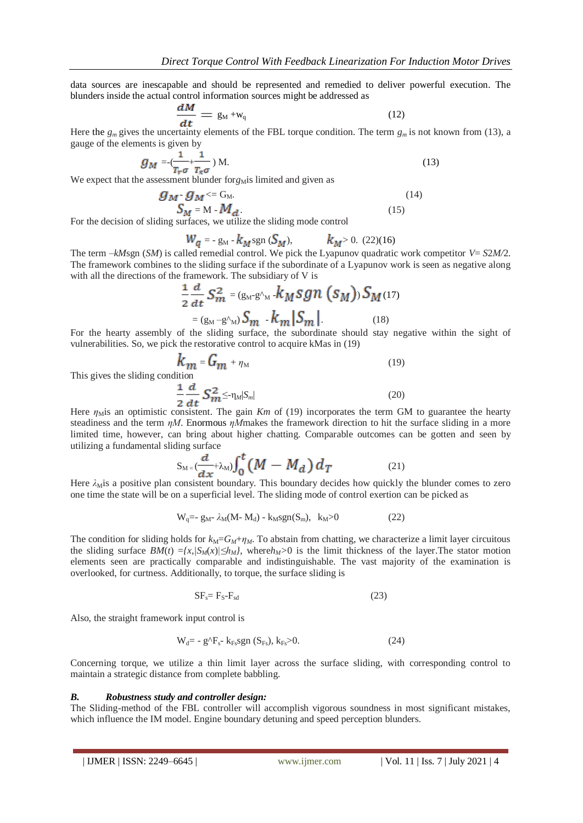data sources are inescapable and should be represented and remedied to deliver powerful execution. The blunders inside the actual control information sources might be addressed as

$$
\frac{dM}{dt} = g_M + w_q \tag{12}
$$

Here the  $g_m$  gives the uncertainty elements of the FBL torque condition. The term  $g_m$  is not known from (13), a gauge of the elements is given by

$$
g_M = \frac{1}{T_r \sigma} + \frac{1}{T_s \sigma} \, M. \tag{13}
$$

We expect that the assessment blunder for $g_M$ is limited and given as

$$
g_M \cdot g_M \leq G_M
$$
  
\n
$$
S_M = M \cdot M_d.
$$
\n(14)

For the decision of sliding surfaces, we utilize the sliding mode control

$$
W_q = -g_M - k_M \text{sgn}(\mathcal{S}_M),
$$
  $k_M > 0.$  (22)(16)

The term *–kM*sgn (*SM*) is called remedial control. We pick the Lyapunov quadratic work competitor *V*= *S*2*M/*2. The framework combines to the sliding surface if the subordinate of a Lyapunov work is seen as negative along with all the directions of the framework. The subsidiary of V is

$$
\frac{1}{2}\frac{a}{dt}S_m^2 = (g_M - g_M)k_Msgn (s_M))S_M(17)
$$
  
=  $(g_M - g_M)S_m - k_m|S_m|$  (18)

For the hearty assembly of the sliding surface, the subordinate should stay negative within the sight of vulnerabilities. So, we pick the restorative control to acquire kMas in (19)

$$
k_m = G_m + \eta_M
$$
\naddition

\n
$$
\frac{1}{2} d_m
$$
\n(19)

This gives the sliding condition-

$$
\frac{1}{2}\frac{d}{dt}\sum_{m=1}^{2}\sum_{m=1}^{m} \sum_{m=1}^{m} |S_{m}|
$$
\nconsistent. The gain  $Km$  of (19) incorporates the term  $GN$ .

Here  $\eta_{\text{M}}$  an optimistic consistent. The gain *Km* of (19) incorporates the term GM to guarantee the hearty steadiness and the term *ηM*. Enormous *ηM*makes the framework direction to hit the surface sliding in a more limited time, however, can bring about higher chatting. Comparable outcomes can be gotten and seen by utilizing a fundamental sliding surface

$$
S_{M} = \left(\frac{d}{dx} + \lambda_M\right) \int_0^t \left(M - M_d\right) d_T \tag{21}
$$

Here  $\lambda_M$ is a positive plan consistent boundary. This boundary decides how quickly the blunder comes to zero one time the state will be on a superficial level. The sliding mode of control exertion can be picked as

$$
W_q = -g_M - \lambda_M (M - M_d) - k_M sgn(S_m), \quad k_M > 0 \tag{22}
$$

The condition for sliding holds for  $k_M = G_M + \eta_M$ . To abstain from chatting, we characterize a limit layer circuitous the sliding surface  $BM(t) = \{x, \sqrt{S_M(x)} | \le h_M\}$ , where  $h_M > 0$  is the limit thickness of the layer. The stator motion elements seen are practically comparable and indistinguishable. The vast majority of the examination is overlooked, for curtness. Additionally, to torque, the surface sliding is

$$
SF_s = F_S - F_{sd} \tag{23}
$$

Also, the straight framework input control is

$$
W_d = -g^{\Lambda}F_s - k_{Fs}sgn (S_{Fs}), k_{Fs} > 0.
$$
 (24)

Concerning torque, we utilize a thin limit layer across the surface sliding, with corresponding control to maintain a strategic distance from complete babbling.

#### *B. Robustness study and controller design:*

The Sliding-method of the FBL controller will accomplish vigorous soundness in most significant mistakes, which influence the IM model. Engine boundary detuning and speed perception blunders.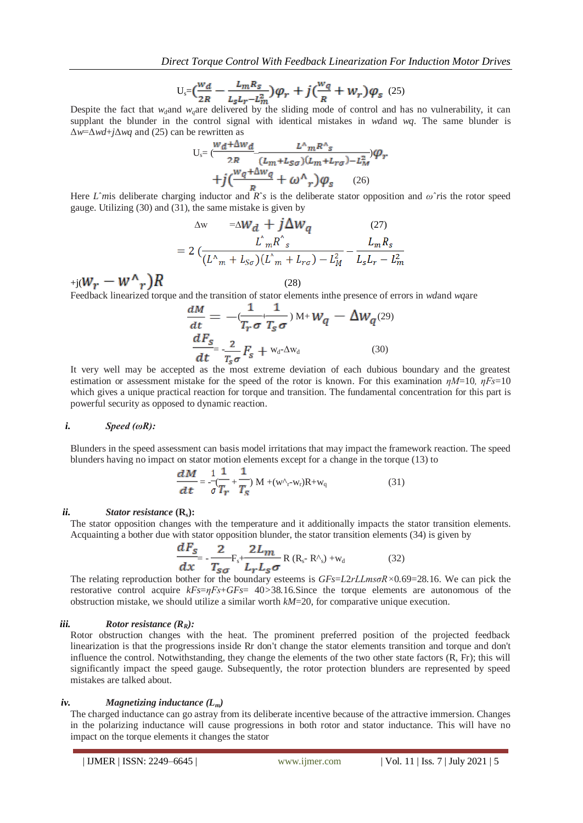$$
U_s = \left(\frac{w_d}{2R} - \frac{L_m R_S}{L_S L_r - L_m^2}\right)\varphi_r + j\left(\frac{w_q}{R} + W_r\right)\varphi_s \tag{25}
$$

Despite the fact that  $w_d$  and  $w_d$  are delivered by the sliding mode of control and has no vulnerability, it can supplant the blunder in the control signal with identical mistakes in *wd*and *wq*. The same blunder is Δ*w*=Δ*wd*+*j*Δ*wq* and (25) can be rewritten as

$$
U_s = \frac{W_d + \Delta W_d}{2R} \frac{L^{\wedge} mR^{\wedge}s}{(L_m + L_{SG})(L_m + L_{TG}) - L_M^2} \varphi_r
$$
  
+  $j \left( \frac{W_q + \Delta W_q}{R} + \omega^{\wedge} r \right) \varphi_s$  (26)

Here *L*<sup> $\hat{m}$ </sup> is deliberate charging inductor and *R*<sup> $\hat{r}$ </sup> is the deliberate stator opposition and  $\hat{\omega}$ <sup> $\hat{r}$ </sup> is the rotor speed gauge. Utilizing (30) and (31), the same mistake is given by

$$
\Delta w = \Delta W_d + j \Delta W_q \qquad (27)
$$
  
=  $2 \left( \frac{L_m^2 R_s^2}{(L_m + L_{S\sigma})(L_m + L_{r\sigma}) - L_M^2} - \frac{L_m R_s}{L_s L_r - L_m^2} \right)$ 

 $_{+j}(W_r - W^{\wedge}{}_r)R$  (28)

Feedback linearized torque and the transition of stator elements inthe presence of errors in *wd*and *wq*are

$$
\frac{dM}{dt} = -\left(\frac{1}{T_r \sigma} + \frac{1}{T_s \sigma}\right) M + W_q - \Delta W_q(29)
$$
\n
$$
\frac{dF_s}{dt} = \frac{2}{T_s \sigma} F_s + w_d \Delta w_d \tag{30}
$$

It very well may be accepted as the most extreme deviation of each dubious boundary and the greatest estimation or assessment mistake for the speed of the rotor is known. For this examination *ηM*=10*, ηFs*=10 which gives a unique practical reaction for torque and transition. The fundamental concentration for this part is powerful security as opposed to dynamic reaction.

#### *i. Speed (ωR):*

Blunders in the speed assessment can basis model irritations that may impact the framework reaction. The speed blunders having no impact on stator motion elements except for a change in the torque (13) to

$$
\frac{dM}{dt} = -\frac{1}{\sigma} \frac{1}{T_r} + \frac{1}{T_s} M + (w \gamma_r - w_r) R + w_q
$$
\n(31)

#### *ii. Stator resistance* **(Rs):**

The stator opposition changes with the temperature and it additionally impacts the stator transition elements. Acquainting a bother due with stator opposition blunder, the stator transition elements (34) is given by

$$
\frac{dF_s}{dx} = -\frac{2}{T_{s\sigma}} F_s + \frac{2L_m}{L_r L_s \sigma} R (R_s - R^{\prime}) + w_d
$$
 (32)

The relating reproduction bother for the boundary esteems is *GFs*=*L*2*rLLmsσR×*0*.*69=28*.*16. We can pick the restorative control acquire *kFs*=*ηFs*+*GFs*= 40*>*38*.*16.Since the torque elements are autonomous of the obstruction mistake, we should utilize a similar worth *kM*=20, for comparative unique execution.

## *iii. Rotor resistance (RR):*

Rotor obstruction changes with the heat. The prominent preferred position of the projected feedback linearization is that the progressions inside Rr don't change the stator elements transition and torque and don't influence the control. Notwithstanding, they change the elements of the two other state factors (R, Fr); this will significantly impact the speed gauge. Subsequently, the rotor protection blunders are represented by speed mistakes are talked about.

#### *iv. Magnetizing inductance (Lm)*

The charged inductance can go astray from its deliberate incentive because of the attractive immersion. Changes in the polarizing inductance will cause progressions in both rotor and stator inductance. This will have no impact on the torque elements it changes the stator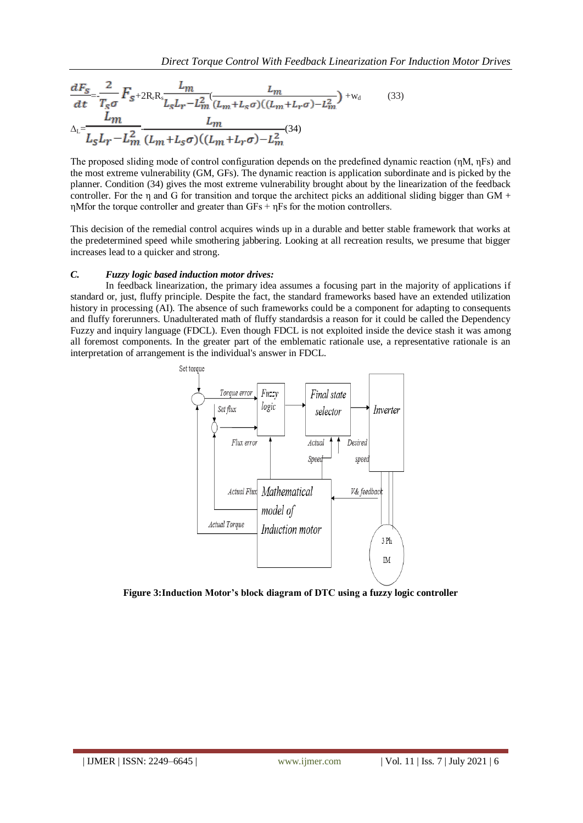$$
\frac{dF_s}{dt} = \frac{2}{T_s\sigma} F_{s+2R_rR_s} \frac{L_m}{L_sL_r - L_m^2} \frac{L_m}{(L_m + L_s\sigma)((L_m + L_r\sigma) - L_m^2)} + w_d
$$
\n
$$
\Delta_L = \frac{L_m}{L_sL_r - L_m^2} \frac{L_m}{(L_m + L_s\sigma)((L_m + L_r\sigma) - L_m^2)} (34)
$$
\n(33)

The proposed sliding mode of control configuration depends on the predefined dynamic reaction (ηM, ηFs) and the most extreme vulnerability (GM, GFs). The dynamic reaction is application subordinate and is picked by the planner. Condition (34) gives the most extreme vulnerability brought about by the linearization of the feedback controller. For the  $\eta$  and G for transition and torque the architect picks an additional sliding bigger than GM + ηMfor the torque controller and greater than GFs + ηFs for the motion controllers.

This decision of the remedial control acquires winds up in a durable and better stable framework that works at the predetermined speed while smothering jabbering. Looking at all recreation results, we presume that bigger increases lead to a quicker and strong.

### *C. Fuzzy logic based induction motor drives:*

In feedback linearization, the primary idea assumes a focusing part in the majority of applications if standard or, just, fluffy principle. Despite the fact, the standard frameworks based have an extended utilization history in processing (AI). The absence of such frameworks could be a component for adapting to consequents and fluffy forerunners. Unadulterated math of fluffy standardsis a reason for it could be called the Dependency Fuzzy and inquiry language (FDCL). Even though FDCL is not exploited inside the device stash it was among all foremost components. In the greater part of the emblematic rationale use, a representative rationale is an interpretation of arrangement is the individual's answer in FDCL.



**Figure 3:Induction Motor's block diagram of DTC using a fuzzy logic controller**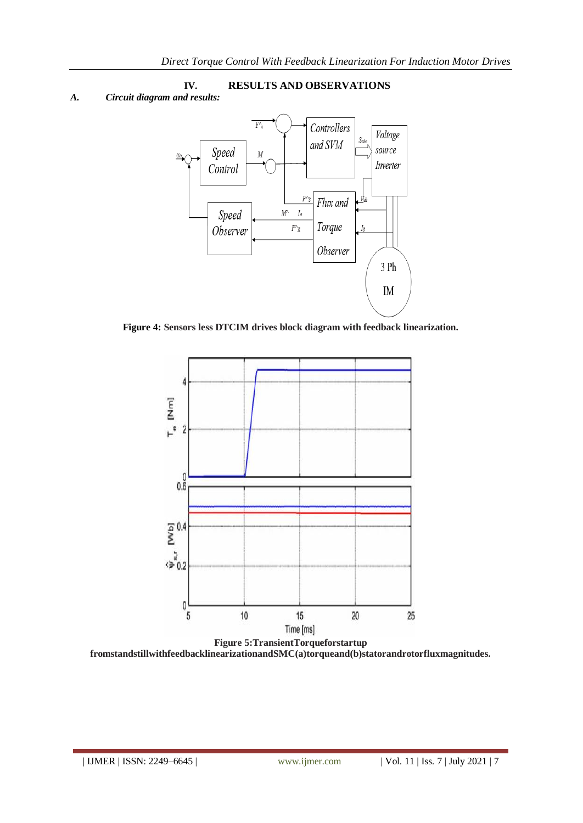# **IV. RESULTS AND OBSERVATIONS**

# *A. Circuit diagram and results:*



**Figure 4: Sensors less DTCIM drives block diagram with feedback linearization.**



**fromstandstillwithfeedbacklinearizationandSMC(a)torqueand(b)statorandrotorfluxmagnitudes.**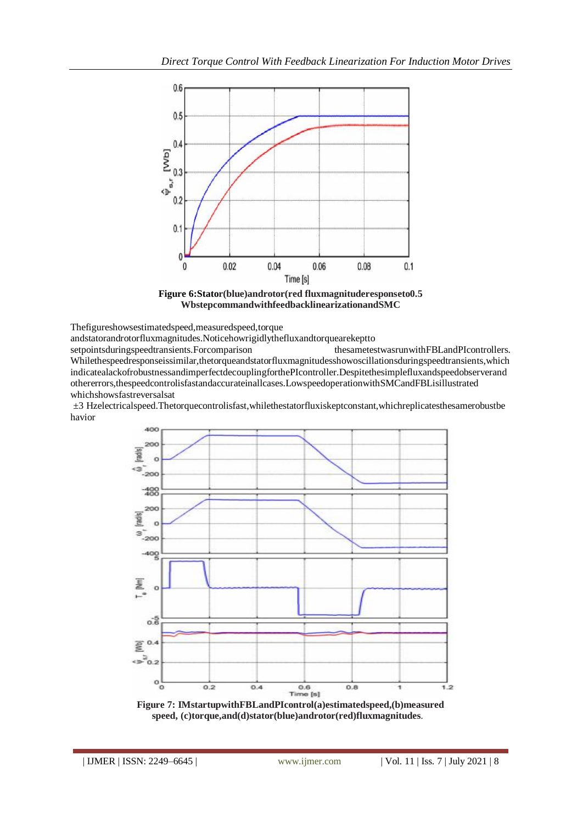

**Figure 6:Stator(blue)androtor(red fluxmagnituderesponseto0.5 WbstepcommandwithfeedbacklinearizationandSMC**

Thefigureshowsestimatedspeed,measuredspeed,torque

andstatorandrotorfluxmagnitudes.Noticehowrigidlythefluxandtorquearekeptto setpointsduringspeedtransients.Forcomparison thesametestwasrunwithFBLandPIcontrollers. Whilethespeedresponseissimilar,thetorqueandstatorfluxmagnitudesshowoscillationsduringspeedtransients,which indicatealackofrobustnessandimperfectdecouplingforthePIcontroller.Despitethesimplefluxandspeedobserverand othererrors,thespeedcontrolisfastandaccurateinallcases.LowspeedoperationwithSMCandFBLisillustrated whichshowsfastreversalsat

i*±*3iHzelectricalspeed.Thetorquecontrolisfast,whilethestatorfluxiskeptconstant,whichreplicatesthesamerobustbe havior.



**Figure 7: IMstartupwithFBLandPIcontrol(a)estimatedspeed,(b)measured**   $speed, (c)torque, and (d)stator(blue) and rotor(red) flux magnitudes.$